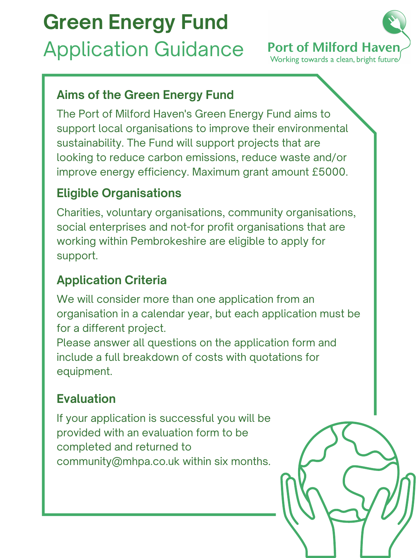# **Green Energy Fund** Application Guidance



### **Aims of the Green Energy Fund**

The Port of Milford Haven's Green Energy Fund aims to support local organisations to improve their environmental sustainability. The Fund will support projects that are looking to reduce carbon emissions, reduce waste and/or improve energy efficiency. Maximum grant amount £5000.

We will consider more than one application from an organisation in a calendar year, but each application must be for a different project.

### **Eligible Organisations**

Charities, voluntary organisations, community organisations, social enterprises and not-for profit organisations that are working within Pembrokeshire are eligible to apply for support.

## **Application Criteria**

Please answer all questions on the application form and include a full breakdown of costs with quotations for equipment.

### **Evaluation**

If your application is successful you will be provided with an evaluation form to be completed and returned to community@mhpa.co.uk within six months.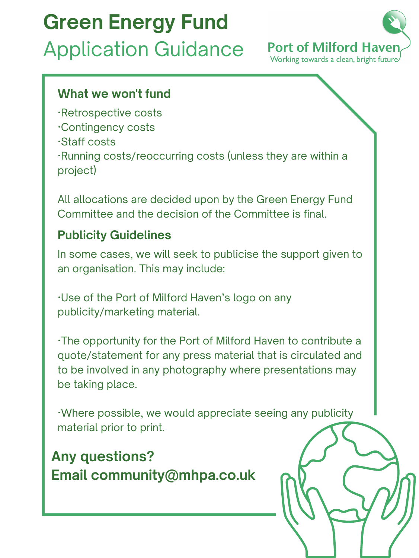**Any questions? Email community@mhpa.co.uk**

### **What we won't fund**

- ·Retrospective costs
- ·Contingency costs
- ·Staff costs

·Running costs/reoccurring costs (unless they are within a project)

All allocations are decided upon by the Green Energy Fund Committee and the decision of the Committee is final.

### **Publicity Guidelines**

In some cases, we will seek to publicise the support given to an organisation. This may include:

·Use of the Port of Milford Haven's logo on any publicity/marketing material.

·The opportunity for the Port of Milford Haven to contribute a quote/statement for any press material that is circulated and to be involved in any photography where presentations may be taking place.

·Where possible, we would appreciate seeing any publicity material prior to print.

# **Green Energy Fund** Application Guidance

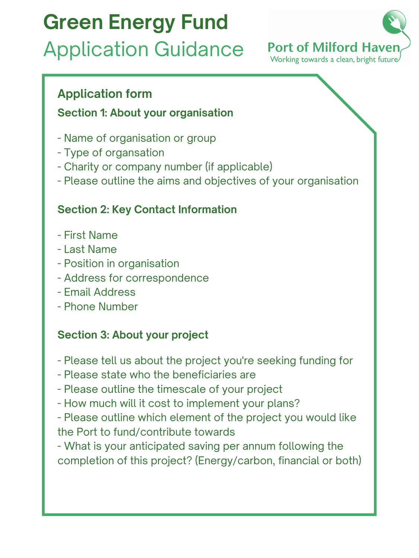### **Application form**

#### **Section 1: About your organisation**

- Name of organisation or group
- Type of organsation
- Charity or company number (if applicable)
- Please outline the aims and objectives of your organisation

#### **Section 2: Key Contact Information**

- First Name
- Last Name
- Position in organisation
- Address for correspondence
- 
- Email Address
- Phone Number

#### **Section 3: About your project**

- Please tell us about the project you're seeking funding for
- Please state who the beneficiaries are
- Please outline the timescale of your project
- How much will it cost to implement your plans?
- Please outline which element of the project you would like the Port to fund/contribute towards
- What is your anticipated saving per annum following the completion of this project? (Energy/carbon, financial or both)

# **Green Energy Fund** Application Guidance